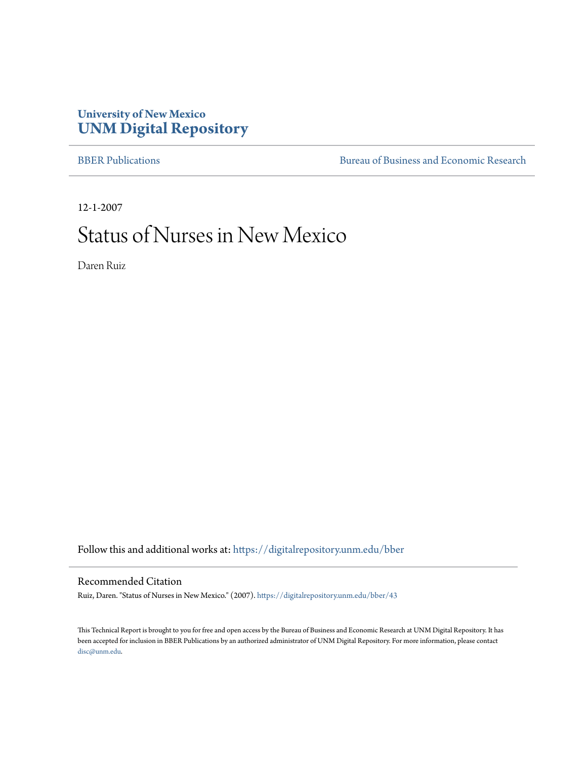## **University of New Mexico [UNM Digital Repository](https://digitalrepository.unm.edu?utm_source=digitalrepository.unm.edu%2Fbber%2F43&utm_medium=PDF&utm_campaign=PDFCoverPages)**

[BBER Publications](https://digitalrepository.unm.edu/bber?utm_source=digitalrepository.unm.edu%2Fbber%2F43&utm_medium=PDF&utm_campaign=PDFCoverPages) [Bureau of Business and Economic Research](https://digitalrepository.unm.edu/business_economic_research?utm_source=digitalrepository.unm.edu%2Fbber%2F43&utm_medium=PDF&utm_campaign=PDFCoverPages)

12-1-2007

## Status of Nurses in New Mexico

Daren Ruiz

Follow this and additional works at: [https://digitalrepository.unm.edu/bber](https://digitalrepository.unm.edu/bber?utm_source=digitalrepository.unm.edu%2Fbber%2F43&utm_medium=PDF&utm_campaign=PDFCoverPages)

#### Recommended Citation

Ruiz, Daren. "Status of Nurses in New Mexico." (2007). [https://digitalrepository.unm.edu/bber/43](https://digitalrepository.unm.edu/bber/43?utm_source=digitalrepository.unm.edu%2Fbber%2F43&utm_medium=PDF&utm_campaign=PDFCoverPages)

This Technical Report is brought to you for free and open access by the Bureau of Business and Economic Research at UNM Digital Repository. It has been accepted for inclusion in BBER Publications by an authorized administrator of UNM Digital Repository. For more information, please contact [disc@unm.edu](mailto:disc@unm.edu).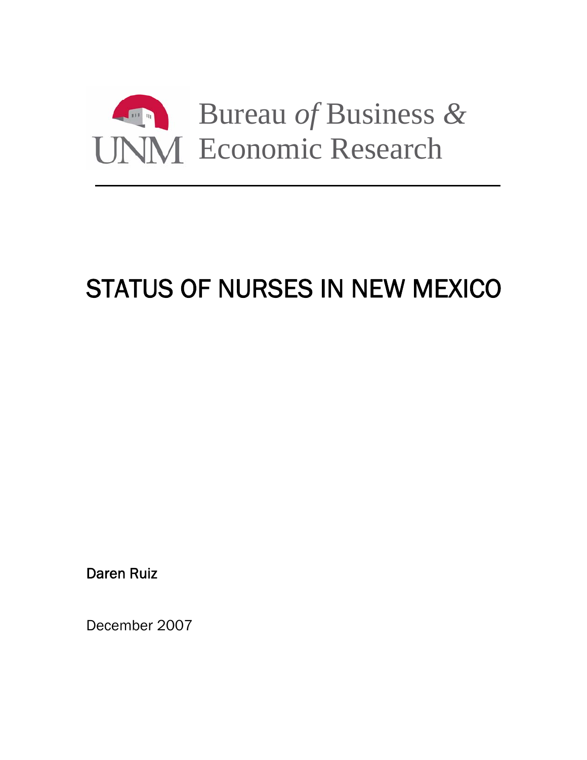

# STATUS OF NURSES IN NEW MEXICO

Daren Ruiz

December 2007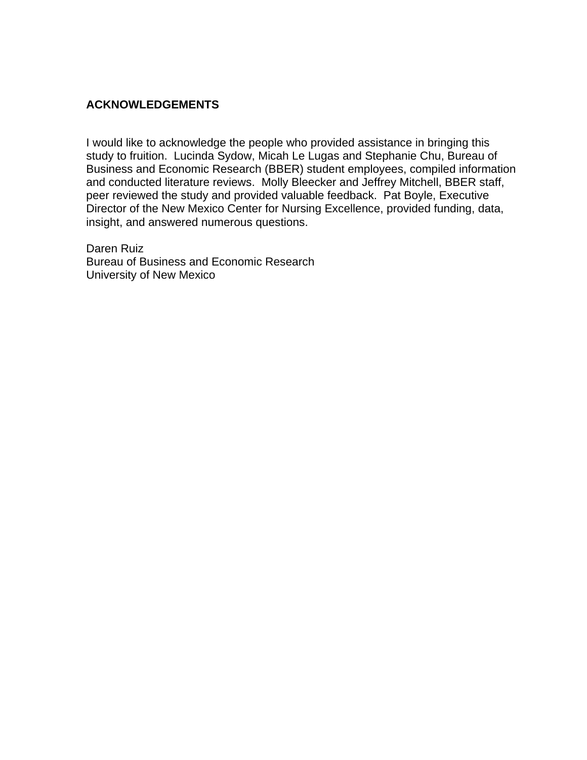#### **ACKNOWLEDGEMENTS**

I would like to acknowledge the people who provided assistance in bringing this study to fruition. Lucinda Sydow, Micah Le Lugas and Stephanie Chu, Bureau of Business and Economic Research (BBER) student employees, compiled information and conducted literature reviews. Molly Bleecker and Jeffrey Mitchell, BBER staff, peer reviewed the study and provided valuable feedback. Pat Boyle, Executive Director of the New Mexico Center for Nursing Excellence, provided funding, data, insight, and answered numerous questions.

Daren Ruiz Bureau of Business and Economic Research University of New Mexico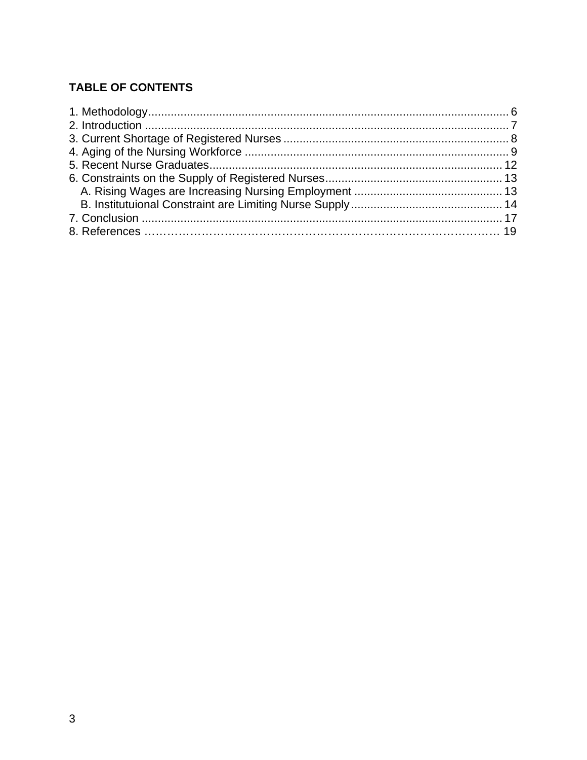## **TABLE OF CONTENTS**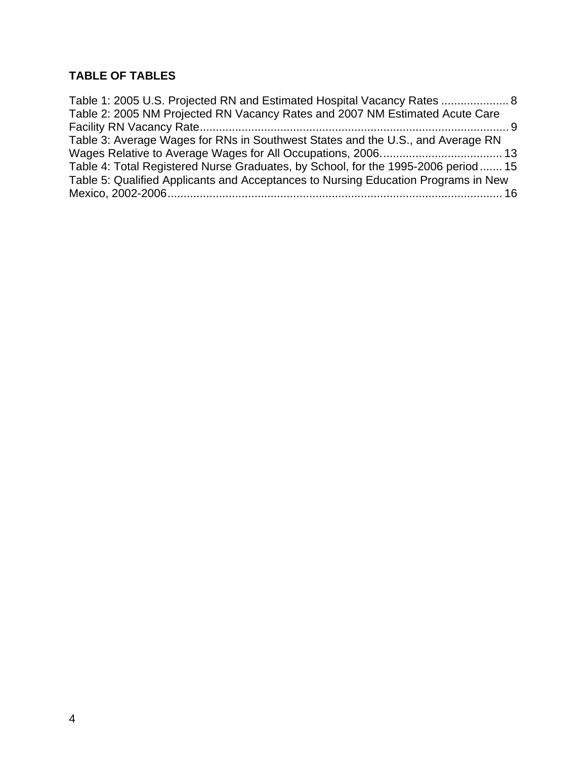## **TABLE OF TABLES**

| Table 1: 2005 U.S. Projected RN and Estimated Hospital Vacancy Rates  8            |  |
|------------------------------------------------------------------------------------|--|
| Table 2: 2005 NM Projected RN Vacancy Rates and 2007 NM Estimated Acute Care       |  |
|                                                                                    |  |
| Table 3: Average Wages for RNs in Southwest States and the U.S., and Average RN    |  |
|                                                                                    |  |
| Table 4: Total Registered Nurse Graduates, by School, for the 1995-2006 period 15  |  |
| Table 5: Qualified Applicants and Acceptances to Nursing Education Programs in New |  |
|                                                                                    |  |
|                                                                                    |  |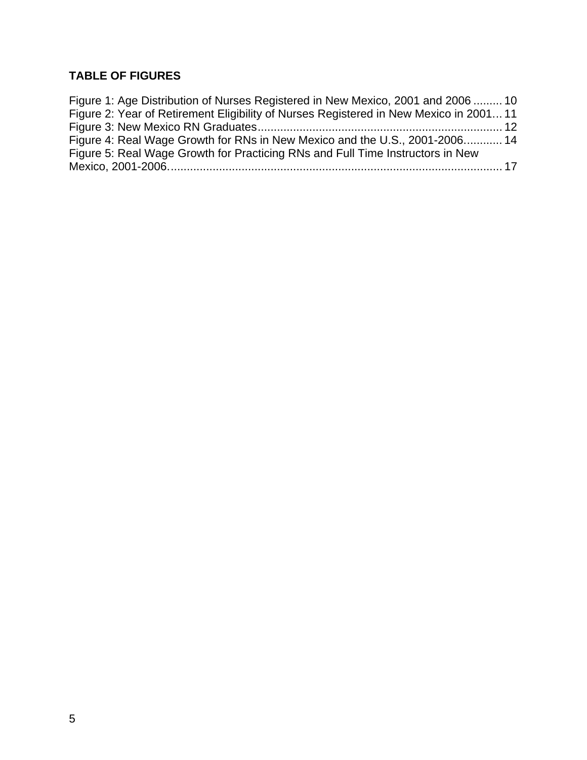## **TABLE OF FIGURES**

| Figure 1: Age Distribution of Nurses Registered in New Mexico, 2001 and 2006  10      |  |
|---------------------------------------------------------------------------------------|--|
| Figure 2: Year of Retirement Eligibility of Nurses Registered in New Mexico in 200111 |  |
|                                                                                       |  |
| Figure 4: Real Wage Growth for RNs in New Mexico and the U.S., 2001-2006 14           |  |
| Figure 5: Real Wage Growth for Practicing RNs and Full Time Instructors in New        |  |
|                                                                                       |  |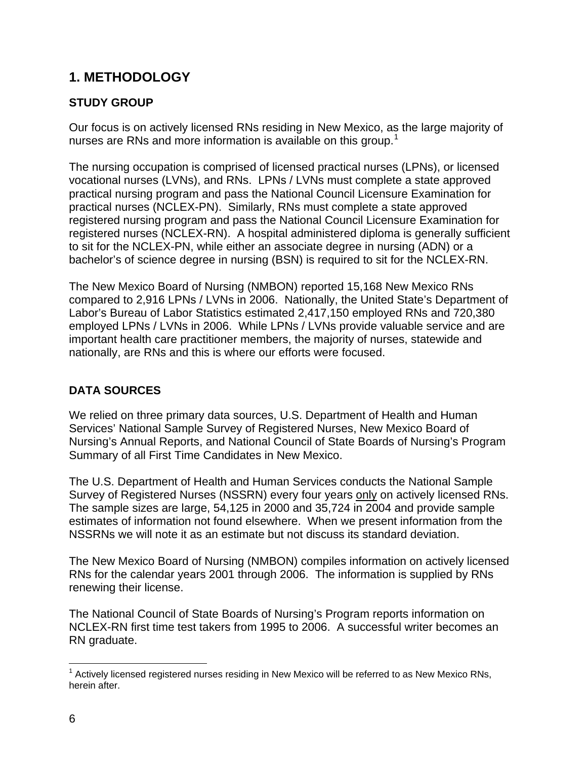## <span id="page-6-0"></span>**1. METHODOLOGY**

### **STUDY GROUP**

Our focus is on actively licensed RNs residing in New Mexico, as the large majority of nurses are RNs and more information is available on this group.<sup>[1](#page-6-1)</sup>

The nursing occupation is comprised of licensed practical nurses (LPNs), or licensed vocational nurses (LVNs), and RNs. LPNs / LVNs must complete a state approved practical nursing program and pass the National Council Licensure Examination for practical nurses (NCLEX-PN). Similarly, RNs must complete a state approved registered nursing program and pass the National Council Licensure Examination for registered nurses (NCLEX-RN). A hospital administered diploma is generally sufficient to sit for the NCLEX-PN, while either an associate degree in nursing (ADN) or a bachelor's of science degree in nursing (BSN) is required to sit for the NCLEX-RN.

The New Mexico Board of Nursing (NMBON) reported 15,168 New Mexico RNs compared to 2,916 LPNs / LVNs in 2006. Nationally, the United State's Department of Labor's Bureau of Labor Statistics estimated 2,417,150 employed RNs and 720,380 employed LPNs / LVNs in 2006. While LPNs / LVNs provide valuable service and are important health care practitioner members, the majority of nurses, statewide and nationally, are RNs and this is where our efforts were focused.

## **DATA SOURCES**

We relied on three primary data sources, U.S. Department of Health and Human Services' National Sample Survey of Registered Nurses, New Mexico Board of Nursing's Annual Reports, and National Council of State Boards of Nursing's Program Summary of all First Time Candidates in New Mexico.

The U.S. Department of Health and Human Services conducts the National Sample Survey of Registered Nurses (NSSRN) every four years only on actively licensed RNs. The sample sizes are large, 54,125 in 2000 and 35,724 in 2004 and provide sample estimates of information not found elsewhere. When we present information from the NSSRNs we will note it as an estimate but not discuss its standard deviation.

The New Mexico Board of Nursing (NMBON) compiles information on actively licensed RNs for the calendar years 2001 through 2006. The information is supplied by RNs renewing their license.

The National Council of State Boards of Nursing's Program reports information on NCLEX-RN first time test takers from 1995 to 2006. A successful writer becomes an RN graduate.

<span id="page-6-1"></span> 1 Actively licensed registered nurses residing in New Mexico will be referred to as New Mexico RNs, herein after.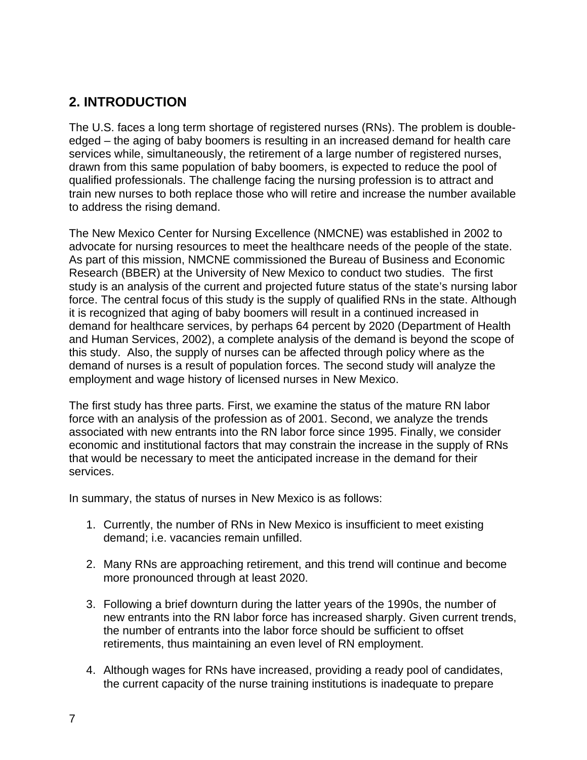## <span id="page-7-0"></span>**2. INTRODUCTION**

The U.S. faces a long term shortage of registered nurses (RNs). The problem is doubleedged – the aging of baby boomers is resulting in an increased demand for health care services while, simultaneously, the retirement of a large number of registered nurses, drawn from this same population of baby boomers, is expected to reduce the pool of qualified professionals. The challenge facing the nursing profession is to attract and train new nurses to both replace those who will retire and increase the number available to address the rising demand.

The New Mexico Center for Nursing Excellence (NMCNE) was established in 2002 to advocate for nursing resources to meet the healthcare needs of the people of the state. As part of this mission, NMCNE commissioned the Bureau of Business and Economic Research (BBER) at the University of New Mexico to conduct two studies. The first study is an analysis of the current and projected future status of the state's nursing labor force. The central focus of this study is the supply of qualified RNs in the state. Although it is recognized that aging of baby boomers will result in a continued increased in demand for healthcare services, by perhaps 64 percent by 2020 (Department of Health and Human Services, 2002), a complete analysis of the demand is beyond the scope of this study. Also, the supply of nurses can be affected through policy where as the demand of nurses is a result of population forces. The second study will analyze the employment and wage history of licensed nurses in New Mexico.

The first study has three parts. First, we examine the status of the mature RN labor force with an analysis of the profession as of 2001. Second, we analyze the trends associated with new entrants into the RN labor force since 1995. Finally, we consider economic and institutional factors that may constrain the increase in the supply of RNs that would be necessary to meet the anticipated increase in the demand for their services.

In summary, the status of nurses in New Mexico is as follows:

- 1. Currently, the number of RNs in New Mexico is insufficient to meet existing demand; i.e. vacancies remain unfilled.
- 2. Many RNs are approaching retirement, and this trend will continue and become more pronounced through at least 2020.
- 3. Following a brief downturn during the latter years of the 1990s, the number of new entrants into the RN labor force has increased sharply. Given current trends, the number of entrants into the labor force should be sufficient to offset retirements, thus maintaining an even level of RN employment.
- 4. Although wages for RNs have increased, providing a ready pool of candidates, the current capacity of the nurse training institutions is inadequate to prepare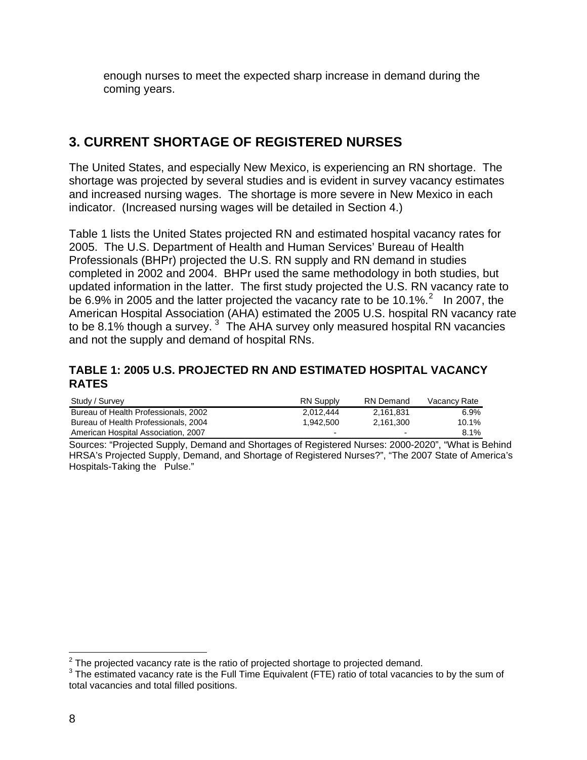<span id="page-8-0"></span>enough nurses to meet the expected sharp increase in demand during the coming years.

## **3. CURRENT SHORTAGE OF REGISTERED NURSES**

The United States, and especially New Mexico, is experiencing an RN shortage. The shortage was projected by several studies and is evident in survey vacancy estimates and increased nursing wages. The shortage is more severe in New Mexico in each indicator. (Increased nursing wages will be detailed in Section 4.)

Table 1 lists the United States projected RN and estimated hospital vacancy rates for 2005. The U.S. Department of Health and Human Services' Bureau of Health Professionals (BHPr) projected the U.S. RN supply and RN demand in studies completed in 2002 and 2004. BHPr used the same methodology in both studies, but updated information in the latter. The first study projected the U.S. RN vacancy rate to be 6.9% in [2](#page-8-1)005 and the latter projected the vacancy rate to be 10.1%. $^2$  In 2007, the American Hospital Association (AHA) estimated the 2005 U.S. hospital RN vacancy rate to be 8.1% though a survey.  $3\text{ The AHA survey}$  $3\text{ The AHA survey}$  only measured hospital RN vacancies and not the supply and demand of hospital RNs.

#### **TABLE 1: 2005 U.S. PROJECTED RN AND ESTIMATED HOSPITAL VACANCY RATES**

| Study / Survey                       | <b>RN Supply</b> | RN Demand | Vacancy Rate |
|--------------------------------------|------------------|-----------|--------------|
| Bureau of Health Professionals, 2002 | 2.012.444        | 2.161.831 | 6.9%         |
| Bureau of Health Professionals, 2004 | 1.942.500        | 2.161.300 | 10.1%        |
| American Hospital Association, 2007  |                  | -         | 8.1%         |

Sources: "Projected Supply, Demand and Shortages of Registered Nurses: 2000-2020", "What is Behind HRSA's Projected Supply, Demand, and Shortage of Registered Nurses?", "The 2007 State of America's Hospitals-Taking the Pulse."

<span id="page-8-1"></span> $\overline{a}$ <sup>2</sup> The projected vacancy rate is the ratio of projected shortage to projected demand.<br><sup>3</sup> The estimated vacancy rate is the Full Time Faulualest (FTF) ratio of total vacancie

<span id="page-8-2"></span><sup>&</sup>lt;sup>3</sup> The estimated vacancy rate is the Full Time Equivalent (FTE) ratio of total vacancies to by the sum of total vacancies and total filled positions.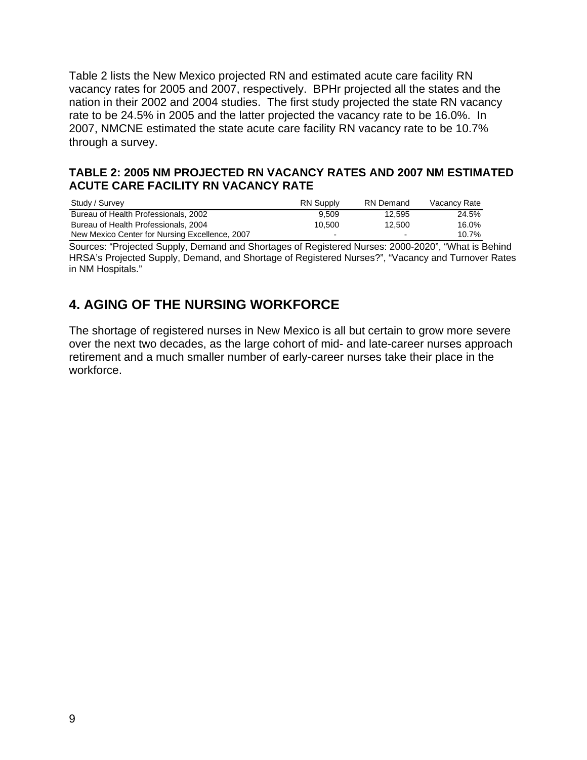<span id="page-9-0"></span>Table 2 lists the New Mexico projected RN and estimated acute care facility RN vacancy rates for 2005 and 2007, respectively. BPHr projected all the states and the nation in their 2002 and 2004 studies. The first study projected the state RN vacancy rate to be 24.5% in 2005 and the latter projected the vacancy rate to be 16.0%. In 2007, NMCNE estimated the state acute care facility RN vacancy rate to be 10.7% through a survey.

#### **TABLE 2: 2005 NM PROJECTED RN VACANCY RATES AND 2007 NM ESTIMATED ACUTE CARE FACILITY RN VACANCY RATE**

| Study / Survey                                 | <b>RN Supply</b> | <b>RN Demand</b> | Vacancy Rate |
|------------------------------------------------|------------------|------------------|--------------|
| Bureau of Health Professionals, 2002           | 9.509            | 12.595           | 24.5%        |
| Bureau of Health Professionals, 2004           | 10.500           | 12.500           | 16.0%        |
| New Mexico Center for Nursing Excellence, 2007 | -                | $\blacksquare$   | 10.7%        |

Sources: "Projected Supply, Demand and Shortages of Registered Nurses: 2000-2020", "What is Behind HRSA's Projected Supply, Demand, and Shortage of Registered Nurses?", "Vacancy and Turnover Rates in NM Hospitals."

## **4. AGING OF THE NURSING WORKFORCE**

The shortage of registered nurses in New Mexico is all but certain to grow more severe over the next two decades, as the large cohort of mid- and late-career nurses approach retirement and a much smaller number of early-career nurses take their place in the workforce.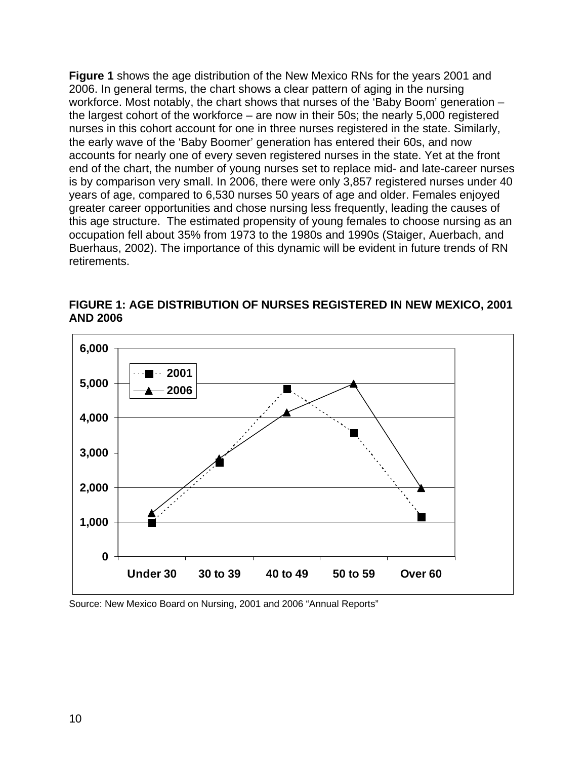<span id="page-10-0"></span>**Figure 1** shows the age distribution of the New Mexico RNs for the years 2001 and 2006. In general terms, the chart shows a clear pattern of aging in the nursing workforce. Most notably, the chart shows that nurses of the 'Baby Boom' generation – the largest cohort of the workforce – are now in their 50s; the nearly 5,000 registered nurses in this cohort account for one in three nurses registered in the state. Similarly, the early wave of the 'Baby Boomer' generation has entered their 60s, and now accounts for nearly one of every seven registered nurses in the state. Yet at the front end of the chart, the number of young nurses set to replace mid- and late-career nurses is by comparison very small. In 2006, there were only 3,857 registered nurses under 40 years of age, compared to 6,530 nurses 50 years of age and older. Females enjoyed greater career opportunities and chose nursing less frequently, leading the causes of this age structure. The estimated propensity of young females to choose nursing as an occupation fell about 35% from 1973 to the 1980s and 1990s (Staiger, Auerbach, and Buerhaus, 2002). The importance of this dynamic will be evident in future trends of RN retirements.





Source: New Mexico Board on Nursing, 2001 and 2006 "Annual Reports"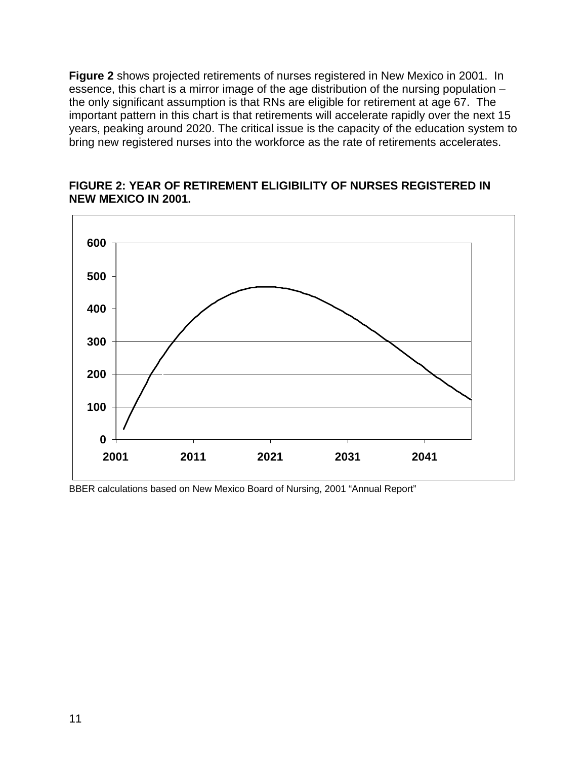<span id="page-11-0"></span>**Figure 2** shows projected retirements of nurses registered in New Mexico in 2001. In essence, this chart is a mirror image of the age distribution of the nursing population – the only significant assumption is that RNs are eligible for retirement at age 67. The important pattern in this chart is that retirements will accelerate rapidly over the next 15 years, peaking around 2020. The critical issue is the capacity of the education system to bring new registered nurses into the workforce as the rate of retirements accelerates.

#### **FIGURE 2: YEAR OF RETIREMENT ELIGIBILITY OF NURSES REGISTERED IN NEW MEXICO IN 2001.**



BBER calculations based on New Mexico Board of Nursing, 2001 "Annual Report"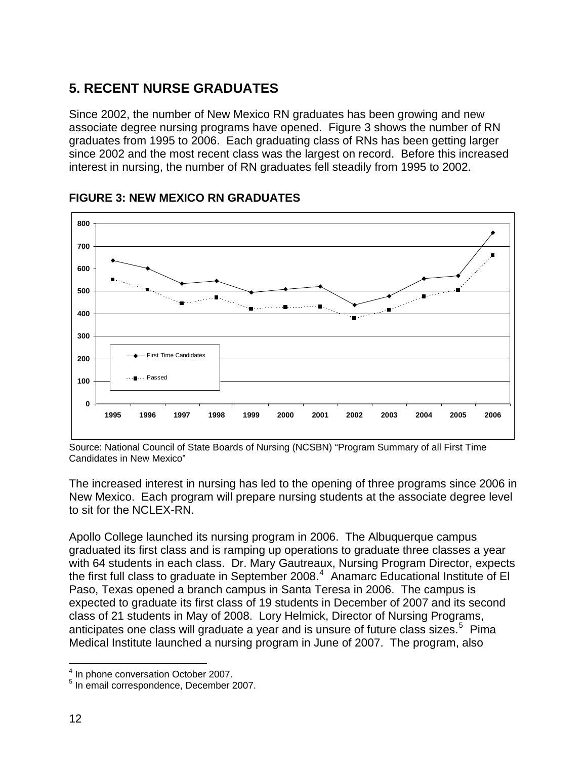## <span id="page-12-0"></span>**5. RECENT NURSE GRADUATES**

Since 2002, the number of New Mexico RN graduates has been growing and new associate degree nursing programs have opened. Figure 3 shows the number of RN graduates from 1995 to 2006. Each graduating class of RNs has been getting larger since 2002 and the most recent class was the largest on record. Before this increased interest in nursing, the number of RN graduates fell steadily from 1995 to 2002.



#### **FIGURE 3: NEW MEXICO RN GRADUATES**

Source: National Council of State Boards of Nursing (NCSBN) "Program Summary of all First Time Candidates in New Mexico"

The increased interest in nursing has led to the opening of three programs since 2006 in New Mexico. Each program will prepare nursing students at the associate degree level to sit for the NCLEX-RN.

Apollo College launched its nursing program in 2006. The Albuquerque campus graduated its first class and is ramping up operations to graduate three classes a year with 64 students in each class. Dr. Mary Gautreaux, Nursing Program Director, expects the first full class to graduate in September 2008.<sup>[4](#page-12-1)</sup> Anamarc Educational Institute of El Paso, Texas opened a branch campus in Santa Teresa in 2006. The campus is expected to graduate its first class of 19 students in December of 2007 and its second class of 21 students in May of 2008. Lory Helmick, Director of Nursing Programs, anticipates one class will graduate a year and is unsure of future class sizes.<sup>[5](#page-12-2)</sup> Pima Medical Institute launched a nursing program in June of 2007. The program, also

 $\overline{a}$ 

<span id="page-12-1"></span><sup>&</sup>lt;sup>4</sup> In phone conversation October 2007.

<span id="page-12-2"></span><sup>5</sup> In email correspondence, December 2007.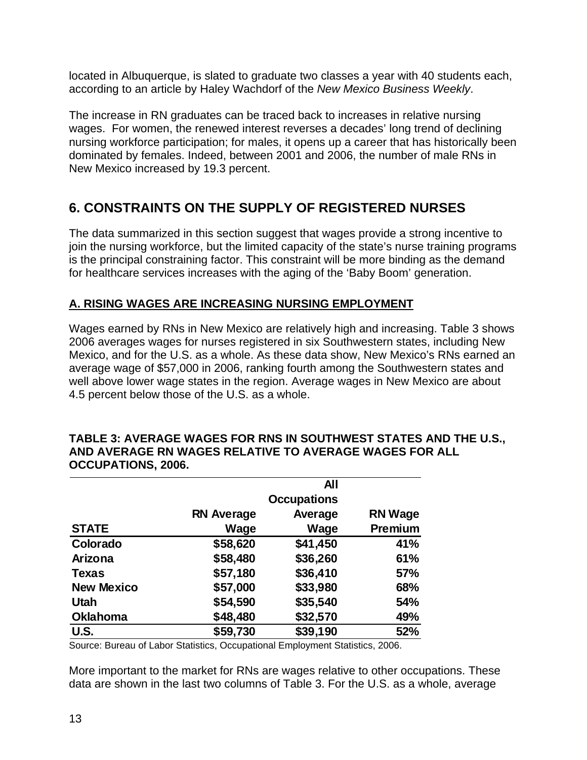<span id="page-13-0"></span>located in Albuquerque, is slated to graduate two classes a year with 40 students each, according to an article by Haley Wachdorf of the *New Mexico Business Weekly*.

The increase in RN graduates can be traced back to increases in relative nursing wages. For women, the renewed interest reverses a decades' long trend of declining nursing workforce participation; for males, it opens up a career that has historically been dominated by females. Indeed, between 2001 and 2006, the number of male RNs in New Mexico increased by 19.3 percent.

## **6. CONSTRAINTS ON THE SUPPLY OF REGISTERED NURSES**

The data summarized in this section suggest that wages provide a strong incentive to join the nursing workforce, but the limited capacity of the state's nurse training programs is the principal constraining factor. This constraint will be more binding as the demand for healthcare services increases with the aging of the 'Baby Boom' generation.

#### **A. RISING WAGES ARE INCREASING NURSING EMPLOYMENT**

Wages earned by RNs in New Mexico are relatively high and increasing. Table 3 shows 2006 averages wages for nurses registered in six Southwestern states, including New Mexico, and for the U.S. as a whole. As these data show, New Mexico's RNs earned an average wage of \$57,000 in 2006, ranking fourth among the Southwestern states and well above lower wage states in the region. Average wages in New Mexico are about 4.5 percent below those of the U.S. as a whole.

#### **TABLE 3: AVERAGE WAGES FOR RNS IN SOUTHWEST STATES AND THE U.S., AND AVERAGE RN WAGES RELATIVE TO AVERAGE WAGES FOR ALL OCCUPATIONS, 2006.**

|                   |                   | <b>All</b>         |                |
|-------------------|-------------------|--------------------|----------------|
|                   |                   | <b>Occupations</b> |                |
|                   | <b>RN Average</b> | Average            | <b>RN Wage</b> |
| <b>STATE</b>      | Wage              | Wage               | Premium        |
| Colorado          | \$58,620          | \$41,450           | 41%            |
| Arizona           | \$58,480          | \$36,260           | 61%            |
| <b>Texas</b>      | \$57,180          | \$36,410           | 57%            |
| <b>New Mexico</b> | \$57,000          | \$33,980           | 68%            |
| <b>Utah</b>       | \$54,590          | \$35,540           | 54%            |
| <b>Oklahoma</b>   | \$48,480          | \$32,570           | 49%            |
| <b>U.S.</b>       | \$59,730          | \$39,190           | 52%            |

Source: Bureau of Labor Statistics, Occupational Employment Statistics, 2006.

More important to the market for RNs are wages relative to other occupations. These data are shown in the last two columns of Table 3. For the U.S. as a whole, average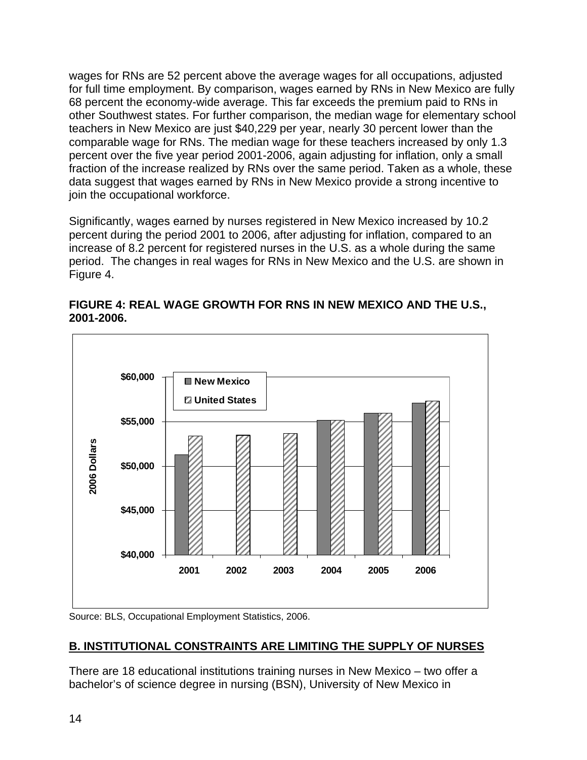<span id="page-14-0"></span>wages for RNs are 52 percent above the average wages for all occupations, adjusted for full time employment. By comparison, wages earned by RNs in New Mexico are fully 68 percent the economy-wide average. This far exceeds the premium paid to RNs in other Southwest states. For further comparison, the median wage for elementary school teachers in New Mexico are just \$40,229 per year, nearly 30 percent lower than the comparable wage for RNs. The median wage for these teachers increased by only 1.3 percent over the five year period 2001-2006, again adjusting for inflation, only a small fraction of the increase realized by RNs over the same period. Taken as a whole, these data suggest that wages earned by RNs in New Mexico provide a strong incentive to join the occupational workforce.

Significantly, wages earned by nurses registered in New Mexico increased by 10.2 percent during the period 2001 to 2006, after adjusting for inflation, compared to an increase of 8.2 percent for registered nurses in the U.S. as a whole during the same period. The changes in real wages for RNs in New Mexico and the U.S. are shown in Figure 4.

#### **FIGURE 4: REAL WAGE GROWTH FOR RNS IN NEW MEXICO AND THE U.S., 2001-2006.**



Source: BLS, Occupational Employment Statistics, 2006.

## **B. INSTITUTIONAL CONSTRAINTS ARE LIMITING THE SUPPLY OF NURSES**

There are 18 educational institutions training nurses in New Mexico – two offer a bachelor's of science degree in nursing (BSN), University of New Mexico in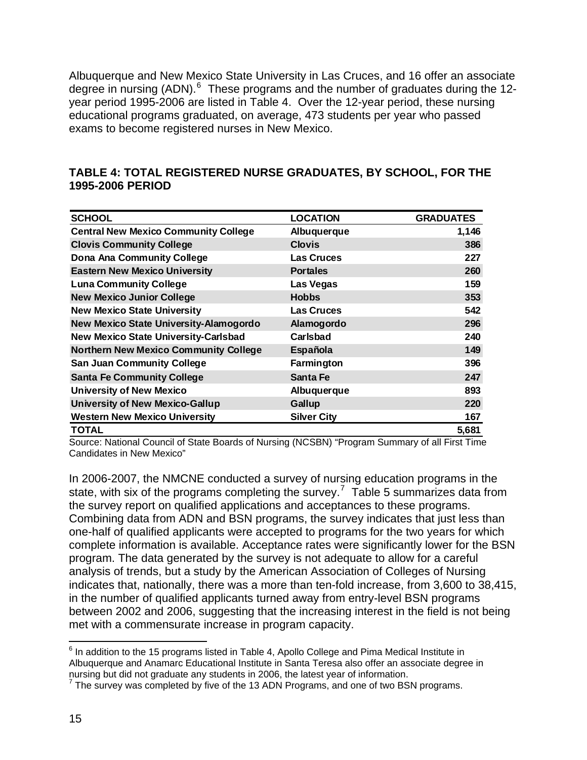<span id="page-15-0"></span>Albuquerque and New Mexico State University in Las Cruces, and 16 offer an associate degree in nursing (ADN).<sup>[6](#page-15-1)</sup> These programs and the number of graduates during the 12year period 1995-2006 are listed in Table 4. Over the 12-year period, these nursing educational programs graduated, on average, 473 students per year who passed exams to become registered nurses in New Mexico.

|               | <b>GRADUATES</b>                                                                                                                                                                                                            |
|---------------|-----------------------------------------------------------------------------------------------------------------------------------------------------------------------------------------------------------------------------|
|               | 1,146                                                                                                                                                                                                                       |
| <b>Clovis</b> | 386                                                                                                                                                                                                                         |
|               | 227                                                                                                                                                                                                                         |
|               | 260                                                                                                                                                                                                                         |
|               | 159                                                                                                                                                                                                                         |
|               | 353                                                                                                                                                                                                                         |
|               | 542                                                                                                                                                                                                                         |
|               | 296                                                                                                                                                                                                                         |
| Carlsbad      | 240                                                                                                                                                                                                                         |
|               | 149                                                                                                                                                                                                                         |
|               | 396                                                                                                                                                                                                                         |
|               | 247                                                                                                                                                                                                                         |
|               | 893                                                                                                                                                                                                                         |
|               | 220                                                                                                                                                                                                                         |
|               | 167                                                                                                                                                                                                                         |
|               | 5,681                                                                                                                                                                                                                       |
|               | <b>LOCATION</b><br>Albuquerque<br><b>Las Cruces</b><br><b>Portales</b><br>Las Vegas<br><b>Hobbs</b><br><b>Las Cruces</b><br>Alamogordo<br>Española<br>Farmington<br>Santa Fe<br>Albuquerque<br>Gallup<br><b>Silver City</b> |

#### **TABLE 4: TOTAL REGISTERED NURSE GRADUATES, BY SCHOOL, FOR THE 1995-2006 PERIOD**

Source: National Council of State Boards of Nursing (NCSBN) "Program Summary of all First Time Candidates in New Mexico"

In 2006-2007, the NMCNE conducted a survey of nursing education programs in the state, with six of the programs completing the survey.<sup>[7](#page-15-2)</sup> Table 5 summarizes data from the survey report on qualified applications and acceptances to these programs. Combining data from ADN and BSN programs, the survey indicates that just less than one-half of qualified applicants were accepted to programs for the two years for which complete information is available. Acceptance rates were significantly lower for the BSN program. The data generated by the survey is not adequate to allow for a careful analysis of trends, but a study by the American Association of Colleges of Nursing indicates that, nationally, there was a more than ten-fold increase, from 3,600 to 38,415, in the number of qualified applicants turned away from entry-level BSN programs between 2002 and 2006, suggesting that the increasing interest in the field is not being met with a commensurate increase in program capacity.

 $\overline{a}$ 

<span id="page-15-1"></span> $<sup>6</sup>$  In addition to the 15 programs listed in Table 4, Apollo College and Pima Medical Institute in</sup> Albuquerque and Anamarc Educational Institute in Santa Teresa also offer an associate degree in nursing but did not graduate any students in 2006, the latest year of information. 7

<span id="page-15-2"></span> $7$  The survey was completed by five of the 13 ADN Programs, and one of two BSN programs.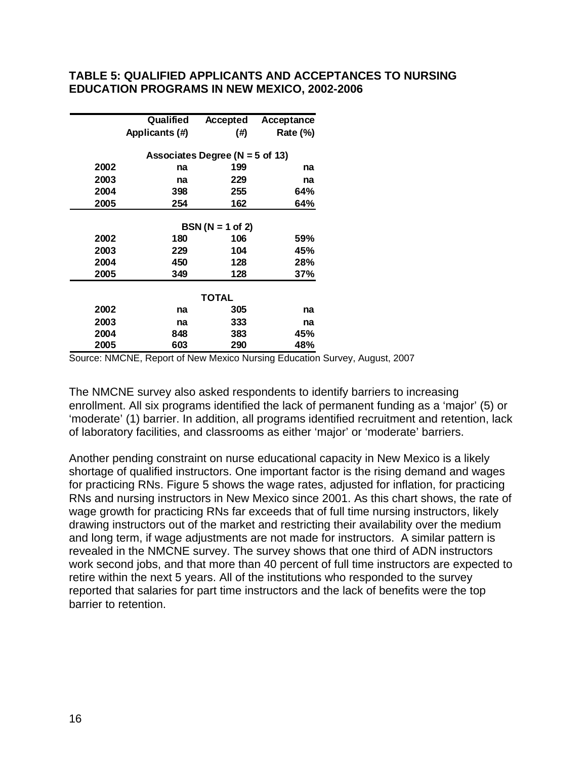#### <span id="page-16-0"></span>**TABLE 5: QUALIFIED APPLICANTS AND ACCEPTANCES TO NURSING EDUCATION PROGRAMS IN NEW MEXICO, 2002-2006**

|      | Qualified      | <b>Accepted</b>                 | Acceptance      |  |
|------|----------------|---------------------------------|-----------------|--|
|      | Applicants (#) | $(\#)$                          | <b>Rate (%)</b> |  |
|      |                | Associates Degree (N = 5 of 13) |                 |  |
| 2002 | na             | 199                             | na              |  |
| 2003 | na             | 229                             | na              |  |
| 2004 | 398            | 255                             | 64%             |  |
| 2005 | 254            | 162                             | 64%             |  |
|      |                | $BSN (N = 1 of 2)$              |                 |  |
| 2002 | 180            | 106                             | 59%             |  |
| 2003 | 229            | 104                             | 45%             |  |
| 2004 | 450            | 128                             | 28%             |  |
| 2005 | 349            | 128                             | 37%             |  |
|      |                | <b>TOTAL</b>                    |                 |  |
| 2002 | na             | 305                             | na              |  |
| 2003 | na             | 333                             | na              |  |
| 2004 | 848            | 383                             | 45%             |  |
| 2005 | 603            | 290                             | 48%             |  |

Source: NMCNE, Report of New Mexico Nursing Education Survey, August, 2007

The NMCNE survey also asked respondents to identify barriers to increasing enrollment. All six programs identified the lack of permanent funding as a 'major' (5) or 'moderate' (1) barrier. In addition, all programs identified recruitment and retention, lack of laboratory facilities, and classrooms as either 'major' or 'moderate' barriers.

Another pending constraint on nurse educational capacity in New Mexico is a likely shortage of qualified instructors. One important factor is the rising demand and wages for practicing RNs. Figure 5 shows the wage rates, adjusted for inflation, for practicing RNs and nursing instructors in New Mexico since 2001. As this chart shows, the rate of wage growth for practicing RNs far exceeds that of full time nursing instructors, likely drawing instructors out of the market and restricting their availability over the medium and long term, if wage adjustments are not made for instructors. A similar pattern is revealed in the NMCNE survey. The survey shows that one third of ADN instructors work second jobs, and that more than 40 percent of full time instructors are expected to retire within the next 5 years. All of the institutions who responded to the survey reported that salaries for part time instructors and the lack of benefits were the top barrier to retention.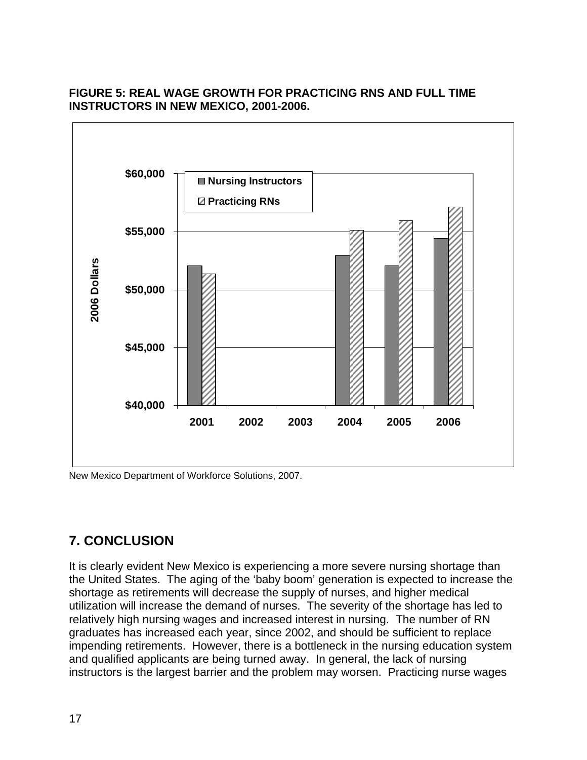<span id="page-17-0"></span>**FIGURE 5: REAL WAGE GROWTH FOR PRACTICING RNS AND FULL TIME INSTRUCTORS IN NEW MEXICO, 2001-2006.** 



New Mexico Department of Workforce Solutions, 2007.

## **7. CONCLUSION**

It is clearly evident New Mexico is experiencing a more severe nursing shortage than the United States. The aging of the 'baby boom' generation is expected to increase the shortage as retirements will decrease the supply of nurses, and higher medical utilization will increase the demand of nurses. The severity of the shortage has led to relatively high nursing wages and increased interest in nursing. The number of RN graduates has increased each year, since 2002, and should be sufficient to replace impending retirements. However, there is a bottleneck in the nursing education system and qualified applicants are being turned away. In general, the lack of nursing instructors is the largest barrier and the problem may worsen. Practicing nurse wages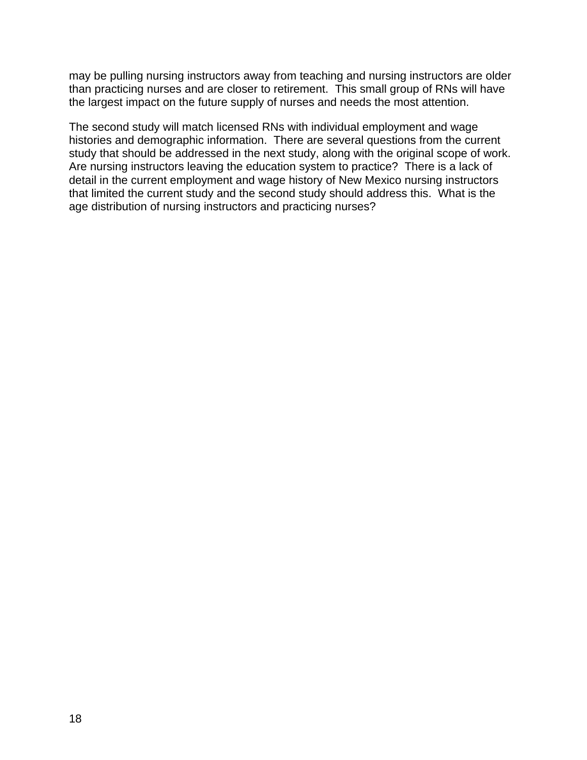may be pulling nursing instructors away from teaching and nursing instructors are older than practicing nurses and are closer to retirement. This small group of RNs will have the largest impact on the future supply of nurses and needs the most attention.

The second study will match licensed RNs with individual employment and wage histories and demographic information. There are several questions from the current study that should be addressed in the next study, along with the original scope of work. Are nursing instructors leaving the education system to practice? There is a lack of detail in the current employment and wage history of New Mexico nursing instructors that limited the current study and the second study should address this. What is the age distribution of nursing instructors and practicing nurses?